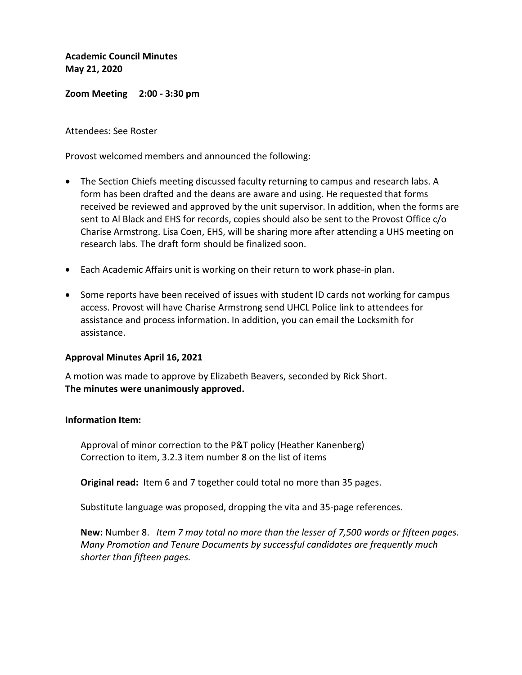**Academic Council Minutes May 21, 2020**

**Zoom Meeting 2:00 - 3:30 pm**

Attendees: See Roster

Provost welcomed members and announced the following:

- The Section Chiefs meeting discussed faculty returning to campus and research labs. A form has been drafted and the deans are aware and using. He requested that forms received be reviewed and approved by the unit supervisor. In addition, when the forms are sent to Al Black and EHS for records, copies should also be sent to the Provost Office c/o Charise Armstrong. Lisa Coen, EHS, will be sharing more after attending a UHS meeting on research labs. The draft form should be finalized soon.
- Each Academic Affairs unit is working on their return to work phase-in plan.
- Some reports have been received of issues with student ID cards not working for campus access. Provost will have Charise Armstrong send UHCL Police link to attendees for assistance and process information. In addition, you can email the Locksmith for assistance.

## **Approval Minutes April 16, 2021**

A motion was made to approve by Elizabeth Beavers, seconded by Rick Short. **The minutes were unanimously approved.** 

## **Information Item:**

Approval of minor correction to the P&T policy (Heather Kanenberg) Correction to item, 3.2.3 item number 8 on the list of items

**Original read:** Item 6 and 7 together could total no more than 35 pages.

Substitute language was proposed, dropping the vita and 35-page references.

**New:** Number 8. *Item 7 may total no more than the lesser of 7,500 words or fifteen pages. Many Promotion and Tenure Documents by successful candidates are frequently much shorter than fifteen pages.*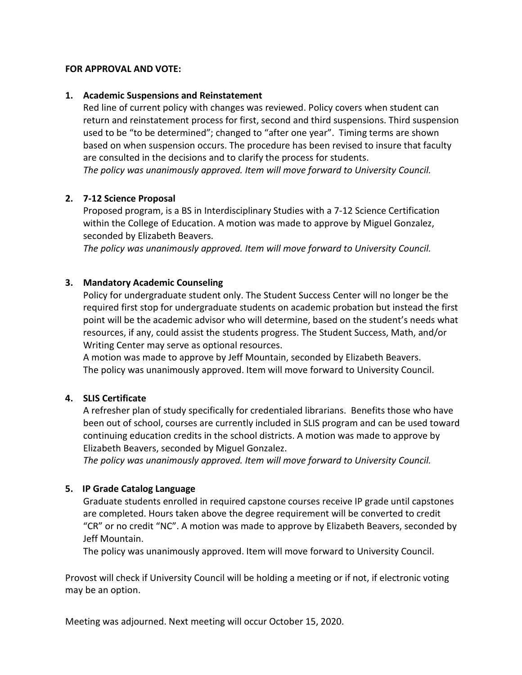#### **FOR APPROVAL AND VOTE:**

#### **1. Academic Suspensions and Reinstatement**

Red line of current policy with changes was reviewed. Policy covers when student can return and reinstatement process for first, second and third suspensions. Third suspension used to be "to be determined"; changed to "after one year". Timing terms are shown based on when suspension occurs. The procedure has been revised to insure that faculty are consulted in the decisions and to clarify the process for students. *The policy was unanimously approved. Item will move forward to University Council.*

## **2. 7-12 Science Proposal**

Proposed program, is a BS in Interdisciplinary Studies with a 7-12 Science Certification within the College of Education. A motion was made to approve by Miguel Gonzalez, seconded by Elizabeth Beavers.

*The policy was unanimously approved. Item will move forward to University Council.*

# **3. Mandatory Academic Counseling**

Policy for undergraduate student only. The Student Success Center will no longer be the required first stop for undergraduate students on academic probation but instead the first point will be the academic advisor who will determine, based on the student's needs what resources, if any, could assist the students progress. The Student Success, Math, and/or Writing Center may serve as optional resources.

A motion was made to approve by Jeff Mountain, seconded by Elizabeth Beavers. The policy was unanimously approved. Item will move forward to University Council.

## **4. SLIS Certificate**

A refresher plan of study specifically for credentialed librarians. Benefits those who have been out of school, courses are currently included in SLIS program and can be used toward continuing education credits in the school districts. A motion was made to approve by Elizabeth Beavers, seconded by Miguel Gonzalez.

*The policy was unanimously approved. Item will move forward to University Council.*

## **5. IP Grade Catalog Language**

Graduate students enrolled in required capstone courses receive IP grade until capstones are completed. Hours taken above the degree requirement will be converted to credit "CR" or no credit "NC". A motion was made to approve by Elizabeth Beavers, seconded by Jeff Mountain.

The policy was unanimously approved. Item will move forward to University Council.

Provost will check if University Council will be holding a meeting or if not, if electronic voting may be an option.

Meeting was adjourned. Next meeting will occur October 15, 2020.